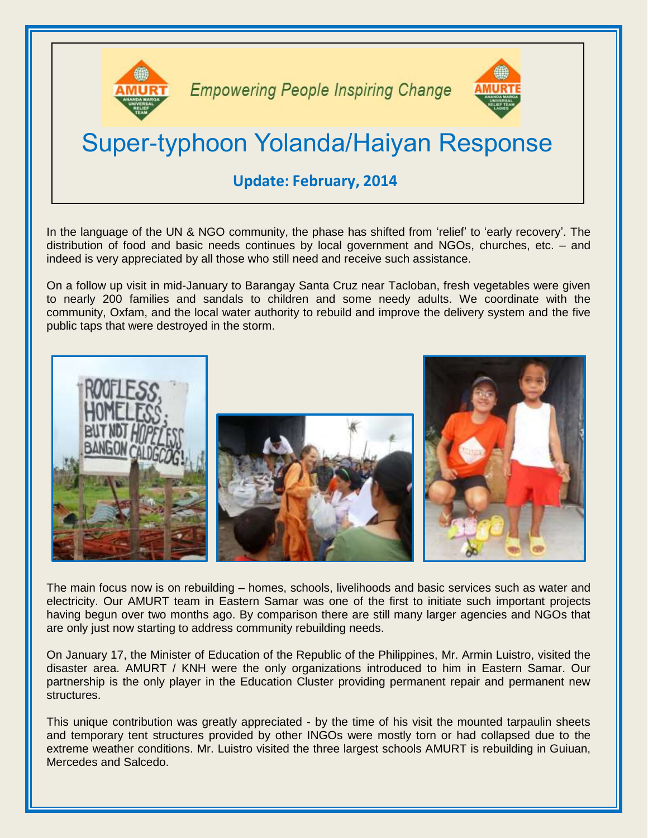

**Empowering People Inspiring Change** 



# Super-typhoon Yolanda/Haiyan Response

## **Update: February, 2014**

In the language of the UN & NGO community, the phase has shifted from 'relief' to 'early recovery'. The distribution of food and basic needs continues by local government and NGOs, churches, etc. – and indeed is very appreciated by all those who still need and receive such assistance.

On a follow up visit in mid-January to Barangay Santa Cruz near Tacloban, fresh vegetables were given to nearly 200 families and sandals to children and some needy adults. We coordinate with the community, Oxfam, and the local water authority to rebuild and improve the delivery system and the five public taps that were destroyed in the storm.



The main focus now is on rebuilding – homes, schools, livelihoods and basic services such as water and electricity. Our AMURT team in Eastern Samar was one of the first to initiate such important projects having begun over two months ago. By comparison there are still many larger agencies and NGOs that are only just now starting to address community rebuilding needs.

On January 17, the Minister of Education of the Republic of the Philippines, Mr. Armin Luistro, visited the disaster area. AMURT / KNH were the only organizations introduced to him in Eastern Samar. Our partnership is the only player in the Education Cluster providing permanent repair and permanent new structures.

This unique contribution was greatly appreciated - by the time of his visit the mounted tarpaulin sheets and temporary tent structures provided by other INGOs were mostly torn or had collapsed due to the extreme weather conditions. Mr. Luistro visited the three largest schools AMURT is rebuilding in Guiuan, Mercedes and Salcedo.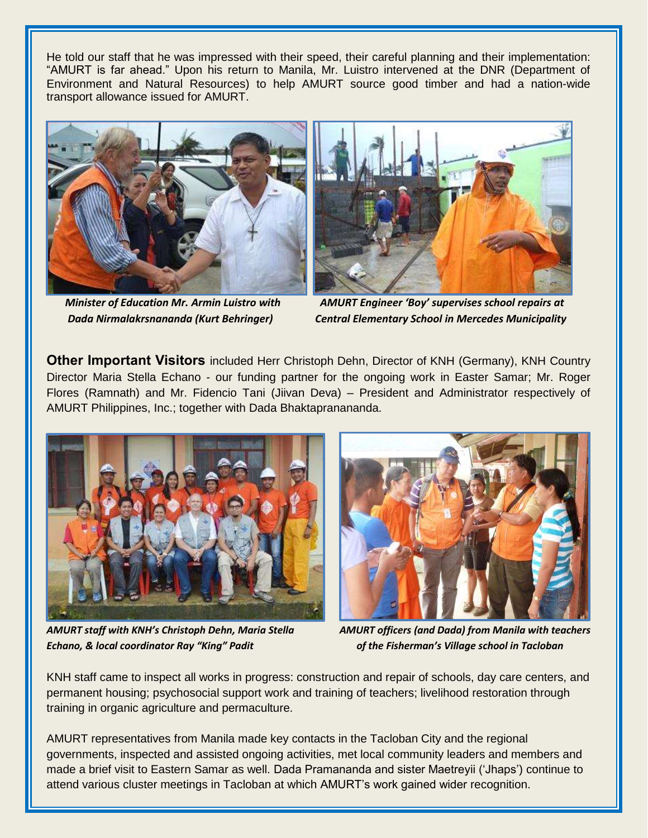He told our staff that he was impressed with their speed, their careful planning and their implementation: "AMURT is far ahead." Upon his return to Manila, Mr. Luistro intervened at the DNR (Department of Environment and Natural Resources) to help AMURT source good timber and had a nation-wide transport allowance issued for AMURT.





 *Minister of Education Mr. Armin Luistro with AMURT Engineer 'Boy' supervises school repairs at Dada Nirmalakrsnananda (Kurt Behringer) Central Elementary School in Mercedes Municipality*

**Other Important Visitors** included Herr Christoph Dehn, Director of KNH (Germany), KNH Country Director Maria Stella Echano - our funding partner for the ongoing work in Easter Samar; Mr. Roger Flores (Ramnath) and Mr. Fidencio Tani (Jiivan Deva) – President and Administrator respectively of AMURT Philippines, Inc.; together with Dada Bhaktapranananda.



*AMURT staff with KNH's Christoph Dehn, Maria Stella AMURT officers (and Dada) from Manila with teachers Echano, & local coordinator Ray "King" Padit of the Fisherman's Village school in Tacloban*



KNH staff came to inspect all works in progress: construction and repair of schools, day care centers, and permanent housing; psychosocial support work and training of teachers; livelihood restoration through training in organic agriculture and permaculture.

AMURT representatives from Manila made key contacts in the Tacloban City and the regional governments, inspected and assisted ongoing activities, met local community leaders and members and made a brief visit to Eastern Samar as well. Dada Pramananda and sister Maetreyii ('Jhaps') continue to attend various cluster meetings in Tacloban at which AMURT's work gained wider recognition.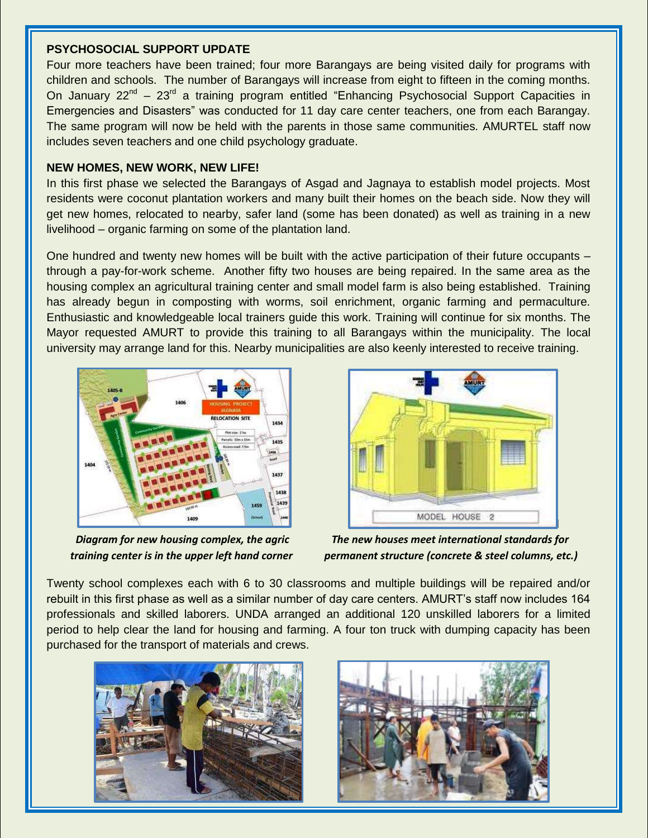#### **PSYCHOSOCIAL SUPPORT UPDATE**

Four more teachers have been trained; four more Barangays are being visited daily for programs with children and schools. The number of Barangays will increase from eight to fifteen in the coming months. On January 22<sup>nd</sup> – 23<sup>rd</sup> a training program entitled "Enhancing Psychosocial Support Capacities in Emergencies and Disasters" was conducted for 11 day care center teachers, one from each Barangay. The same program will now be held with the parents in those same communities. AMURTEL staff now includes seven teachers and one child psychology graduate.

#### **NEW HOMES, NEW WORK, NEW LIFE!**

In this first phase we selected the Barangays of Asgad and Jagnaya to establish model projects. Most residents were coconut plantation workers and many built their homes on the beach side. Now they will get new homes, relocated to nearby, safer land (some has been donated) as well as training in a new livelihood – organic farming on some of the plantation land.

One hundred and twenty new homes will be built with the active participation of their future occupants – through a pay-for-work scheme. Another fifty two houses are being repaired. In the same area as the housing complex an agricultural training center and small model farm is also being established. Training has already begun in composting with worms, soil enrichment, organic farming and permaculture. Enthusiastic and knowledgeable local trainers guide this work. Training will continue for six months. The Mayor requested AMURT to provide this training to all Barangays within the municipality. The local university may arrange land for this. Nearby municipalities are also keenly interested to receive training.





 *Diagram for new housing complex, the agric The new houses meet international standards for training center is in the upper left hand corner permanent structure (concrete & steel columns, etc.)*

Twenty school complexes each with 6 to 30 classrooms and multiple buildings will be repaired and/or rebuilt in this first phase as well as a similar number of day care centers. AMURT's staff now includes 164 professionals and skilled laborers. UNDA arranged an additional 120 unskilled laborers for a limited period to help clear the land for housing and farming. A four ton truck with dumping capacity has been purchased for the transport of materials and crews.